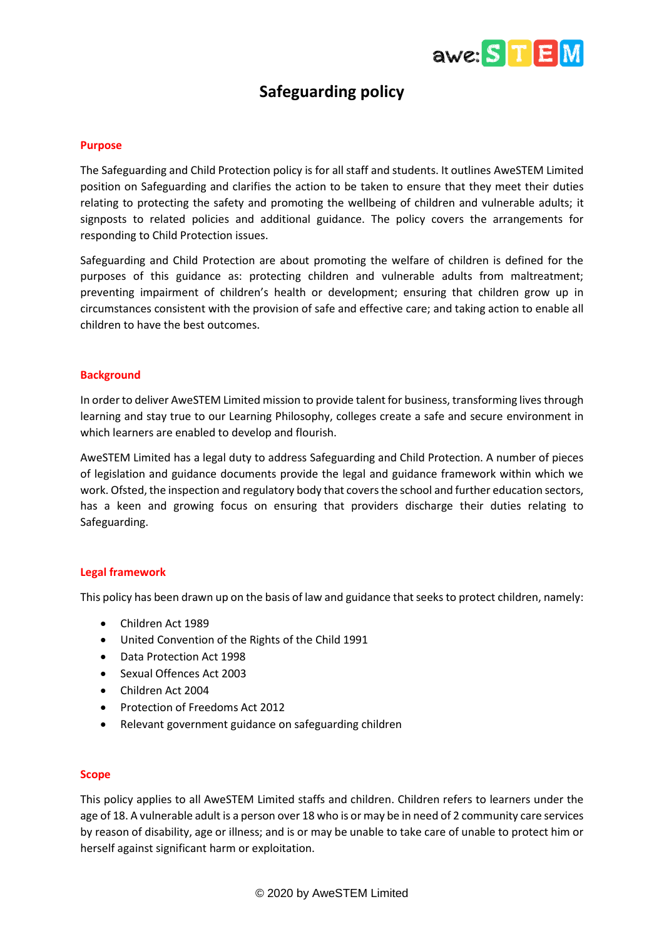

# **Safeguarding policy**

#### **Purpose**

The Safeguarding and Child Protection policy is for all staff and students. It outlines AweSTEM Limited position on Safeguarding and clarifies the action to be taken to ensure that they meet their duties relating to protecting the safety and promoting the wellbeing of children and vulnerable adults; it signposts to related policies and additional guidance. The policy covers the arrangements for responding to Child Protection issues.

Safeguarding and Child Protection are about promoting the welfare of children is defined for the purposes of this guidance as: protecting children and vulnerable adults from maltreatment; preventing impairment of children's health or development; ensuring that children grow up in circumstances consistent with the provision of safe and effective care; and taking action to enable all children to have the best outcomes.

#### **Background**

In order to deliver AweSTEM Limited mission to provide talent for business, transforming lives through learning and stay true to our Learning Philosophy, colleges create a safe and secure environment in which learners are enabled to develop and flourish.

AweSTEM Limited has a legal duty to address Safeguarding and Child Protection. A number of pieces of legislation and guidance documents provide the legal and guidance framework within which we work. Ofsted, the inspection and regulatory body that covers the school and further education sectors, has a keen and growing focus on ensuring that providers discharge their duties relating to Safeguarding.

# **Legal framework**

This policy has been drawn up on the basis of law and guidance that seeks to protect children, namely:

- Children Act 1989
- United Convention of the Rights of the Child 1991
- Data Protection Act 1998
- Sexual Offences Act 2003
- Children Act 2004
- Protection of Freedoms Act 2012
- Relevant government guidance on safeguarding children

# **Scope**

This policy applies to all AweSTEM Limited staffs and children. Children refers to learners under the age of 18. A vulnerable adult is a person over 18 who is or may be in need of 2 community care services by reason of disability, age or illness; and is or may be unable to take care of unable to protect him or herself against significant harm or exploitation.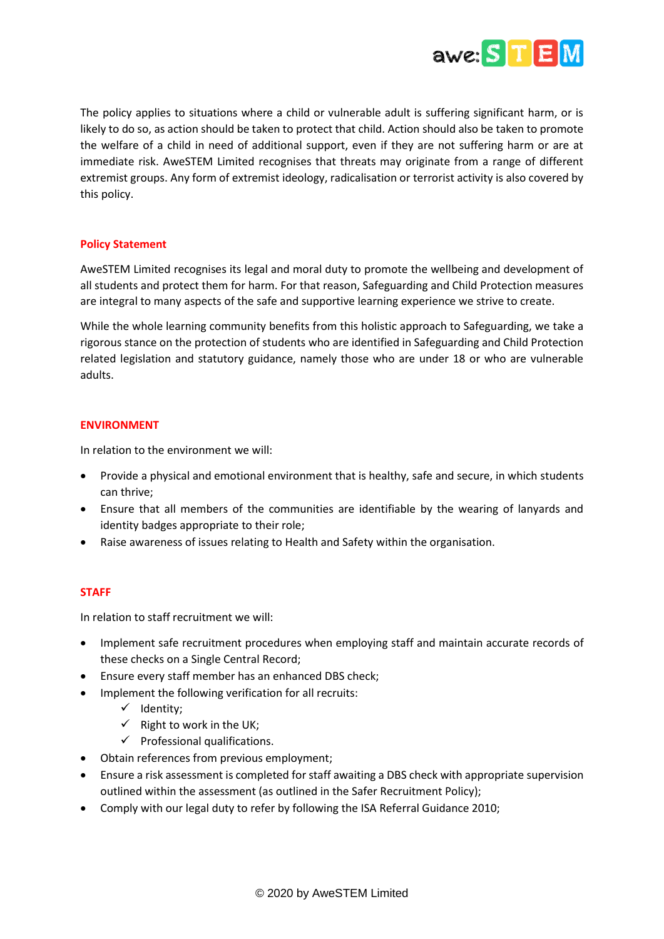

The policy applies to situations where a child or vulnerable adult is suffering significant harm, or is likely to do so, as action should be taken to protect that child. Action should also be taken to promote the welfare of a child in need of additional support, even if they are not suffering harm or are at immediate risk. AweSTEM Limited recognises that threats may originate from a range of different extremist groups. Any form of extremist ideology, radicalisation or terrorist activity is also covered by this policy.

# **Policy Statement**

AweSTEM Limited recognises its legal and moral duty to promote the wellbeing and development of all students and protect them for harm. For that reason, Safeguarding and Child Protection measures are integral to many aspects of the safe and supportive learning experience we strive to create.

While the whole learning community benefits from this holistic approach to Safeguarding, we take a rigorous stance on the protection of students who are identified in Safeguarding and Child Protection related legislation and statutory guidance, namely those who are under 18 or who are vulnerable adults.

# **ENVIRONMENT**

In relation to the environment we will:

- Provide a physical and emotional environment that is healthy, safe and secure, in which students can thrive;
- Ensure that all members of the communities are identifiable by the wearing of lanyards and identity badges appropriate to their role;
- Raise awareness of issues relating to Health and Safety within the organisation.

#### **STAFF**

In relation to staff recruitment we will:

- Implement safe recruitment procedures when employing staff and maintain accurate records of these checks on a Single Central Record;
- Ensure every staff member has an enhanced DBS check;
- Implement the following verification for all recruits:
	- ✓ Identity;
	- $\checkmark$  Right to work in the UK;
	- $\checkmark$  Professional qualifications.
- Obtain references from previous employment;
- Ensure a risk assessment is completed for staff awaiting a DBS check with appropriate supervision outlined within the assessment (as outlined in the Safer Recruitment Policy);
- Comply with our legal duty to refer by following the ISA Referral Guidance 2010;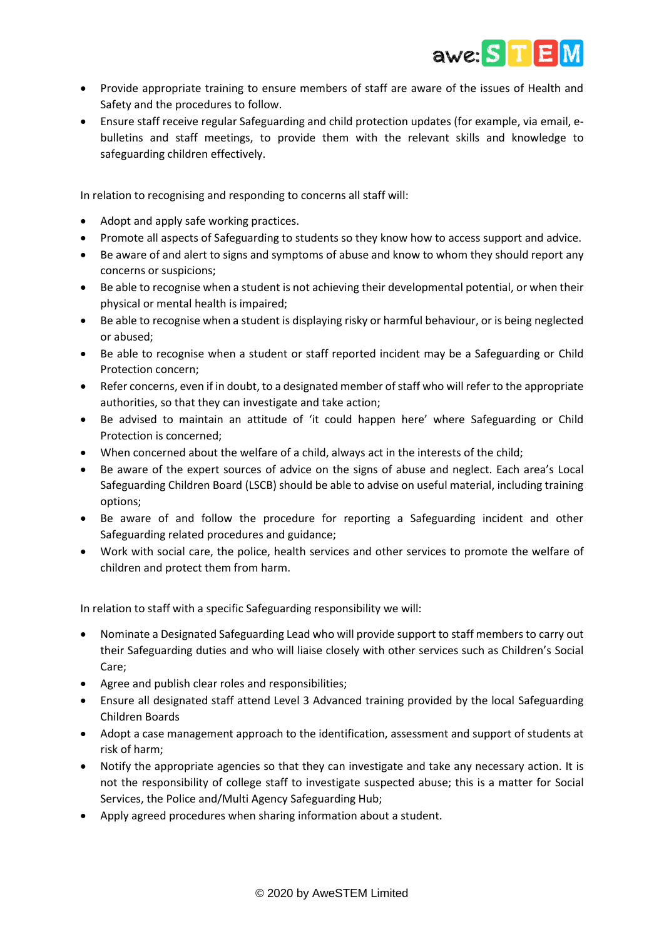

- Provide appropriate training to ensure members of staff are aware of the issues of Health and Safety and the procedures to follow.
- Ensure staff receive regular Safeguarding and child protection updates (for example, via email, ebulletins and staff meetings, to provide them with the relevant skills and knowledge to safeguarding children effectively.

In relation to recognising and responding to concerns all staff will:

- Adopt and apply safe working practices.
- Promote all aspects of Safeguarding to students so they know how to access support and advice.
- Be aware of and alert to signs and symptoms of abuse and know to whom they should report any concerns or suspicions;
- Be able to recognise when a student is not achieving their developmental potential, or when their physical or mental health is impaired;
- Be able to recognise when a student is displaying risky or harmful behaviour, or is being neglected or abused;
- Be able to recognise when a student or staff reported incident may be a Safeguarding or Child Protection concern;
- Refer concerns, even if in doubt, to a designated member of staff who will refer to the appropriate authorities, so that they can investigate and take action;
- Be advised to maintain an attitude of 'it could happen here' where Safeguarding or Child Protection is concerned;
- When concerned about the welfare of a child, always act in the interests of the child;
- Be aware of the expert sources of advice on the signs of abuse and neglect. Each area's Local Safeguarding Children Board (LSCB) should be able to advise on useful material, including training options;
- Be aware of and follow the procedure for reporting a Safeguarding incident and other Safeguarding related procedures and guidance;
- Work with social care, the police, health services and other services to promote the welfare of children and protect them from harm.

In relation to staff with a specific Safeguarding responsibility we will:

- Nominate a Designated Safeguarding Lead who will provide support to staff members to carry out their Safeguarding duties and who will liaise closely with other services such as Children's Social Care;
- Agree and publish clear roles and responsibilities;
- Ensure all designated staff attend Level 3 Advanced training provided by the local Safeguarding Children Boards
- Adopt a case management approach to the identification, assessment and support of students at risk of harm;
- Notify the appropriate agencies so that they can investigate and take any necessary action. It is not the responsibility of college staff to investigate suspected abuse; this is a matter for Social Services, the Police and/Multi Agency Safeguarding Hub;
- Apply agreed procedures when sharing information about a student.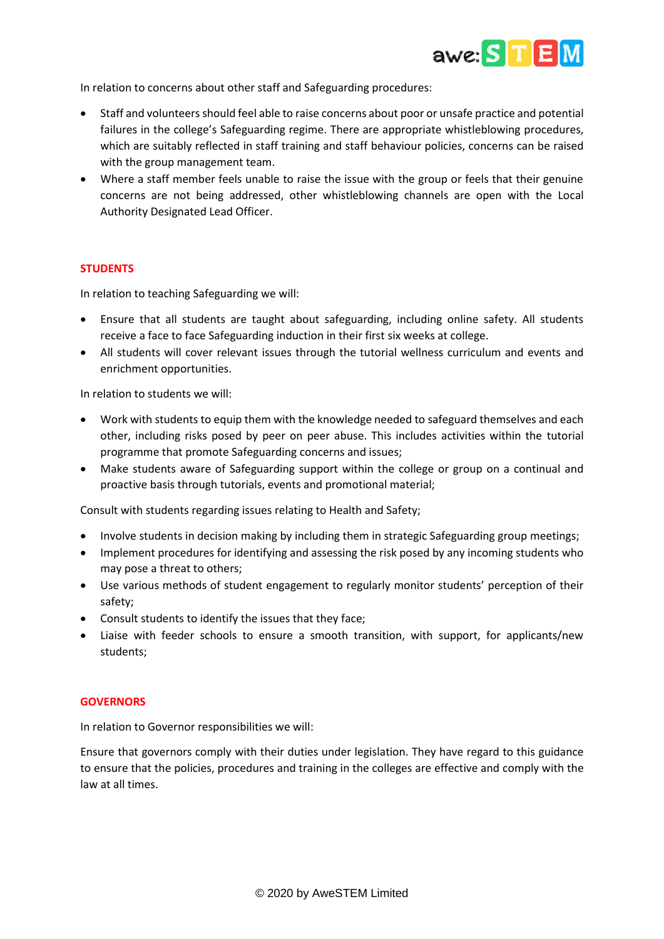

In relation to concerns about other staff and Safeguarding procedures:

- Staff and volunteers should feel able to raise concerns about poor or unsafe practice and potential failures in the college's Safeguarding regime. There are appropriate whistleblowing procedures, which are suitably reflected in staff training and staff behaviour policies, concerns can be raised with the group management team.
- Where a staff member feels unable to raise the issue with the group or feels that their genuine concerns are not being addressed, other whistleblowing channels are open with the Local Authority Designated Lead Officer.

# **STUDENTS**

In relation to teaching Safeguarding we will:

- Ensure that all students are taught about safeguarding, including online safety. All students receive a face to face Safeguarding induction in their first six weeks at college.
- All students will cover relevant issues through the tutorial wellness curriculum and events and enrichment opportunities.

In relation to students we will:

- Work with students to equip them with the knowledge needed to safeguard themselves and each other, including risks posed by peer on peer abuse. This includes activities within the tutorial programme that promote Safeguarding concerns and issues;
- Make students aware of Safeguarding support within the college or group on a continual and proactive basis through tutorials, events and promotional material;

Consult with students regarding issues relating to Health and Safety;

- Involve students in decision making by including them in strategic Safeguarding group meetings;
- Implement procedures for identifying and assessing the risk posed by any incoming students who may pose a threat to others;
- Use various methods of student engagement to regularly monitor students' perception of their safety;
- Consult students to identify the issues that they face;
- Liaise with feeder schools to ensure a smooth transition, with support, for applicants/new students;

#### **GOVERNORS**

In relation to Governor responsibilities we will:

Ensure that governors comply with their duties under legislation. They have regard to this guidance to ensure that the policies, procedures and training in the colleges are effective and comply with the law at all times.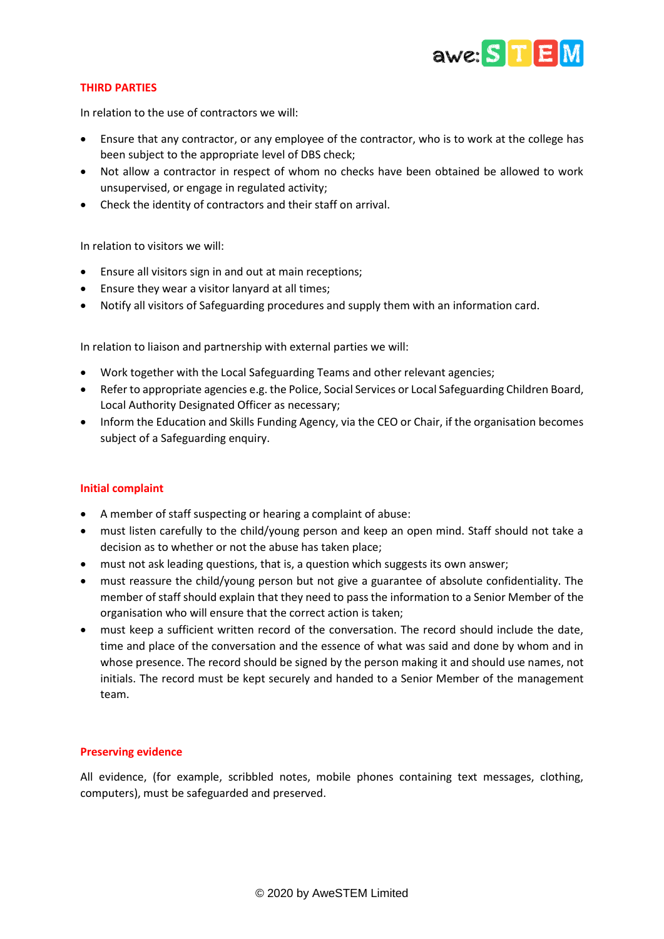

# **THIRD PARTIES**

In relation to the use of contractors we will:

- Ensure that any contractor, or any employee of the contractor, who is to work at the college has been subject to the appropriate level of DBS check;
- Not allow a contractor in respect of whom no checks have been obtained be allowed to work unsupervised, or engage in regulated activity;
- Check the identity of contractors and their staff on arrival.

In relation to visitors we will:

- Ensure all visitors sign in and out at main receptions;
- Ensure they wear a visitor lanyard at all times;
- Notify all visitors of Safeguarding procedures and supply them with an information card.

In relation to liaison and partnership with external parties we will:

- Work together with the Local Safeguarding Teams and other relevant agencies;
- Refer to appropriate agencies e.g. the Police, Social Services or Local Safeguarding Children Board, Local Authority Designated Officer as necessary;
- Inform the Education and Skills Funding Agency, via the CEO or Chair, if the organisation becomes subject of a Safeguarding enquiry.

# **Initial complaint**

- A member of staff suspecting or hearing a complaint of abuse:
- must listen carefully to the child/young person and keep an open mind. Staff should not take a decision as to whether or not the abuse has taken place;
- must not ask leading questions, that is, a question which suggests its own answer;
- must reassure the child/young person but not give a guarantee of absolute confidentiality. The member of staff should explain that they need to pass the information to a Senior Member of the organisation who will ensure that the correct action is taken;
- must keep a sufficient written record of the conversation. The record should include the date, time and place of the conversation and the essence of what was said and done by whom and in whose presence. The record should be signed by the person making it and should use names, not initials. The record must be kept securely and handed to a Senior Member of the management team.

# **Preserving evidence**

All evidence, (for example, scribbled notes, mobile phones containing text messages, clothing, computers), must be safeguarded and preserved.